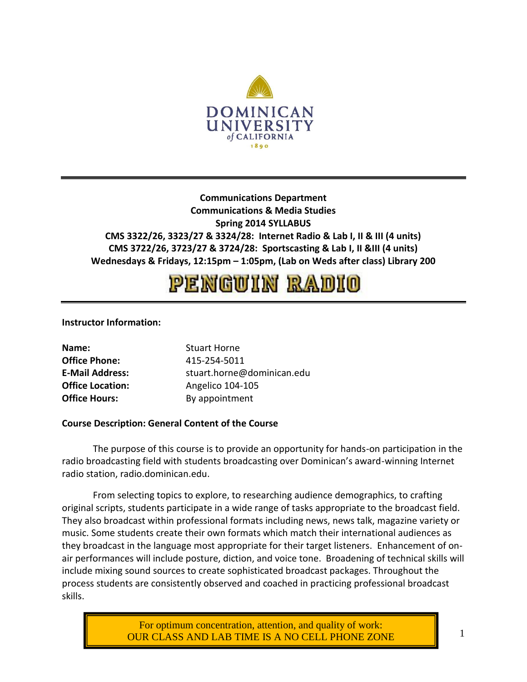

# **Communications Department Communications & Media Studies Spring 2014 SYLLABUS CMS 3322/26, 3323/27 & 3324/28: Internet Radio & Lab I, II & III (4 units) CMS 3722/26, 3723/27 & 3724/28: Sportscasting & Lab I, II &III (4 units) Wednesdays & Fridays, 12:15pm – 1:05pm, (Lab on Weds after class) Library 200**

# PENGUIN RADIO

## **Instructor Information:**

| Name:                   | <b>Stuart Horne</b>        |
|-------------------------|----------------------------|
| <b>Office Phone:</b>    | 415-254-5011               |
| <b>E-Mail Address:</b>  | stuart.horne@dominican.edu |
| <b>Office Location:</b> | Angelico 104-105           |
| <b>Office Hours:</b>    | By appointment             |

## **Course Description: General Content of the Course**

The purpose of this course is to provide an opportunity for hands-on participation in the radio broadcasting field with students broadcasting over Dominican's award-winning Internet radio station, radio.dominican.edu.

From selecting topics to explore, to researching audience demographics, to crafting original scripts, students participate in a wide range of tasks appropriate to the broadcast field. They also broadcast within professional formats including news, news talk, magazine variety or music. Some students create their own formats which match their international audiences as they broadcast in the language most appropriate for their target listeners. Enhancement of onair performances will include posture, diction, and voice tone. Broadening of technical skills will include mixing sound sources to create sophisticated broadcast packages. Throughout the process students are consistently observed and coached in practicing professional broadcast skills.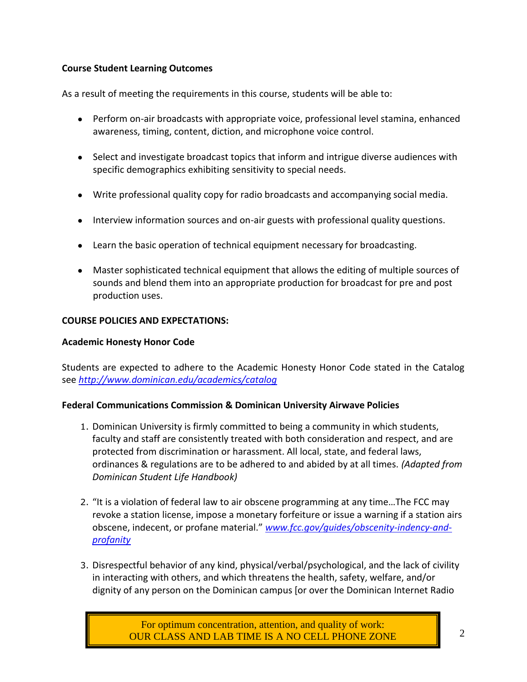# **Course Student Learning Outcomes**

As a result of meeting the requirements in this course, students will be able to:

- Perform on-air broadcasts with appropriate voice, professional level stamina, enhanced awareness, timing, content, diction, and microphone voice control.
- Select and investigate broadcast topics that inform and intrigue diverse audiences with specific demographics exhibiting sensitivity to special needs.
- Write professional quality copy for radio broadcasts and accompanying social media.
- Interview information sources and on-air guests with professional quality questions.
- Learn the basic operation of technical equipment necessary for broadcasting.
- Master sophisticated technical equipment that allows the editing of multiple sources of sounds and blend them into an appropriate production for broadcast for pre and post production uses.

## **COURSE POLICIES AND EXPECTATIONS:**

## **Academic Honesty Honor Code**

Students are expected to adhere to the Academic Honesty Honor Code stated in the Catalog see *[http:](http://www.dominican.edu/academics/catalog)/[/www.dominican.edu/academics/catalog](http://www.dominican.edu/academics/catalog)*

## **Federal Communications Commission & Dominican University Airwave Policies**

- 1. Dominican University is firmly committed to being a community in which students, faculty and staff are consistently treated with both consideration and respect, and are protected from discrimination or harassment. All local, state, and federal laws, ordinances & regulations are to be adhered to and abided by at all times. *(Adapted from Dominican Student Life Handbook)*
- 2. "It is a violation of federal law to air obscene programming at any time…The FCC may revoke a station license, impose a monetary forfeiture or issue a warning if a station airs obscene, indecent, or profane material." *[www.fcc.gov/guides/obscenity-indency-and](http://www.fcc.gov/guides/obscenity-indency-and-profanity)[profanity](http://www.fcc.gov/guides/obscenity-indency-and-profanity)*
- 3. Disrespectful behavior of any kind, physical/verbal/psychological, and the lack of civility in interacting with others, and which threatens the health, safety, welfare, and/or dignity of any person on the Dominican campus [or over the Dominican Internet Radio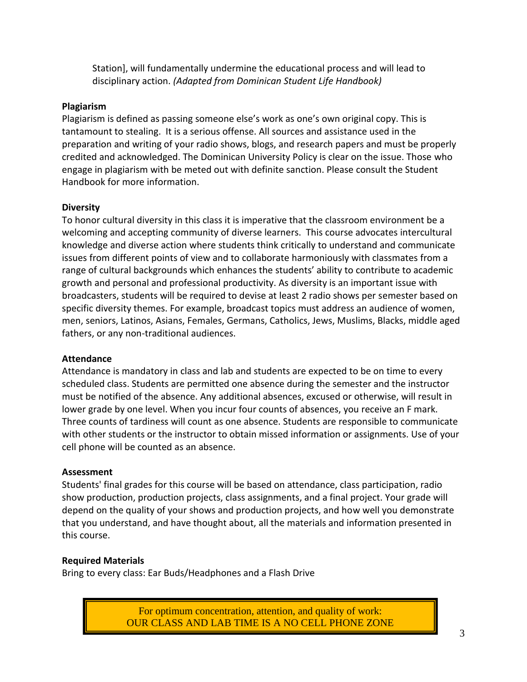Station], will fundamentally undermine the educational process and will lead to disciplinary action. *(Adapted from Dominican Student Life Handbook)*

# **Plagiarism**

Plagiarism is defined as passing someone else's work as one's own original copy. This is tantamount to stealing. It is a serious offense. All sources and assistance used in the preparation and writing of your radio shows, blogs, and research papers and must be properly credited and acknowledged. The Dominican University Policy is clear on the issue. Those who engage in plagiarism with be meted out with definite sanction. Please consult the Student Handbook for more information.

## **Diversity**

To honor cultural diversity in this class it is imperative that the classroom environment be a welcoming and accepting community of diverse learners. This course advocates intercultural knowledge and diverse action where students think critically to understand and communicate issues from different points of view and to collaborate harmoniously with classmates from a range of cultural backgrounds which enhances the students' ability to contribute to academic growth and personal and professional productivity. As diversity is an important issue with broadcasters, students will be required to devise at least 2 radio shows per semester based on specific diversity themes. For example, broadcast topics must address an audience of women, men, seniors, Latinos, Asians, Females, Germans, Catholics, Jews, Muslims, Blacks, middle aged fathers, or any non-traditional audiences.

## **Attendance**

Attendance is mandatory in class and lab and students are expected to be on time to every scheduled class. Students are permitted one absence during the semester and the instructor must be notified of the absence. Any additional absences, excused or otherwise, will result in lower grade by one level. When you incur four counts of absences, you receive an F mark. Three counts of tardiness will count as one absence. Students are responsible to communicate with other students or the instructor to obtain missed information or assignments. Use of your cell phone will be counted as an absence.

## **Assessment**

Students' final grades for this course will be based on attendance, class participation, radio show production, production projects, class assignments, and a final project. Your grade will depend on the quality of your shows and production projects, and how well you demonstrate that you understand, and have thought about, all the materials and information presented in this course.

# **Required Materials**

Bring to every class: Ear Buds/Headphones and a Flash Drive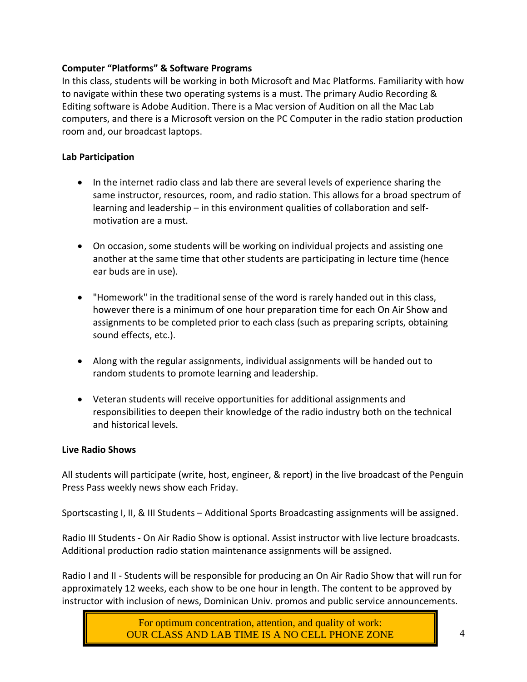# **Computer "Platforms" & Software Programs**

In this class, students will be working in both Microsoft and Mac Platforms. Familiarity with how to navigate within these two operating systems is a must. The primary Audio Recording & Editing software is Adobe Audition. There is a Mac version of Audition on all the Mac Lab computers, and there is a Microsoft version on the PC Computer in the radio station production room and, our broadcast laptops.

# **Lab Participation**

- In the internet radio class and lab there are several levels of experience sharing the same instructor, resources, room, and radio station. This allows for a broad spectrum of learning and leadership – in this environment qualities of collaboration and selfmotivation are a must.
- On occasion, some students will be working on individual projects and assisting one another at the same time that other students are participating in lecture time (hence ear buds are in use).
- "Homework" in the traditional sense of the word is rarely handed out in this class, however there is a minimum of one hour preparation time for each On Air Show and assignments to be completed prior to each class (such as preparing scripts, obtaining sound effects, etc.).
- Along with the regular assignments, individual assignments will be handed out to random students to promote learning and leadership.
- Veteran students will receive opportunities for additional assignments and responsibilities to deepen their knowledge of the radio industry both on the technical and historical levels.

# **Live Radio Shows**

All students will participate (write, host, engineer, & report) in the live broadcast of the Penguin Press Pass weekly news show each Friday.

Sportscasting I, II, & III Students – Additional Sports Broadcasting assignments will be assigned.

Radio III Students - On Air Radio Show is optional. Assist instructor with live lecture broadcasts. Additional production radio station maintenance assignments will be assigned.

Radio I and II - Students will be responsible for producing an On Air Radio Show that will run for approximately 12 weeks, each show to be one hour in length. The content to be approved by instructor with inclusion of news, Dominican Univ. promos and public service announcements.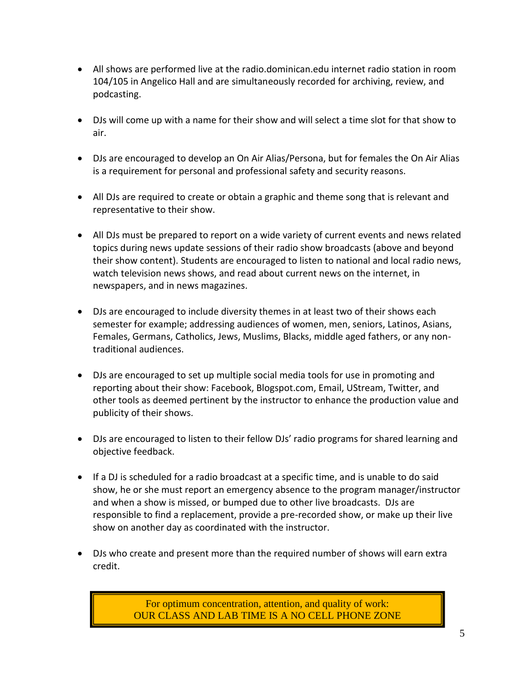- All shows are performed live at the radio.dominican.edu internet radio station in room 104/105 in Angelico Hall and are simultaneously recorded for archiving, review, and podcasting.
- DJs will come up with a name for their show and will select a time slot for that show to air.
- DJs are encouraged to develop an On Air Alias/Persona, but for females the On Air Alias is a requirement for personal and professional safety and security reasons.
- All DJs are required to create or obtain a graphic and theme song that is relevant and representative to their show.
- All DJs must be prepared to report on a wide variety of current events and news related topics during news update sessions of their radio show broadcasts (above and beyond their show content). Students are encouraged to listen to national and local radio news, watch television news shows, and read about current news on the internet, in newspapers, and in news magazines.
- DJs are encouraged to include diversity themes in at least two of their shows each semester for example; addressing audiences of women, men, seniors, Latinos, Asians, Females, Germans, Catholics, Jews, Muslims, Blacks, middle aged fathers, or any nontraditional audiences.
- DJs are encouraged to set up multiple social media tools for use in promoting and reporting about their show: Facebook, Blogspot.com, Email, UStream, Twitter, and other tools as deemed pertinent by the instructor to enhance the production value and publicity of their shows.
- DJs are encouraged to listen to their fellow DJs' radio programs for shared learning and objective feedback.
- If a DJ is scheduled for a radio broadcast at a specific time, and is unable to do said show, he or she must report an emergency absence to the program manager/instructor and when a show is missed, or bumped due to other live broadcasts. DJs are responsible to find a replacement, provide a pre-recorded show, or make up their live show on another day as coordinated with the instructor.
- DJs who create and present more than the required number of shows will earn extra credit.